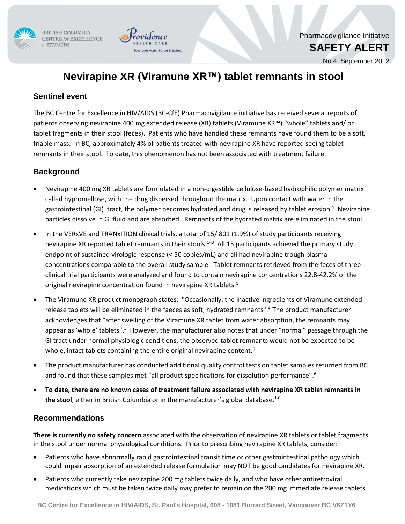

BRITISH COLUMBIA CENTRE for EXCELLENCE in HIV/AIDS



No.4, September 2012

# **Nevirapine XR (Viramune XR™) tablet remnants in stool**

want to be treated.

### **Sentinel event**

The BC Centre for Excellence in HIV/AIDS (BC-CfE) Pharmacovigilance initiative has received several reports of patients observing nevirapine 400 mg extended release (XR) tablets (Viramune XR™) "whole" tablets and/ or tablet fragments in their stool (feces). Patients who have handled these remnants have found them to be a soft, friable mass. In BC, approximately 4% of patients treated with nevirapine XR have reported seeing tablet remnants in their stool. To date, this phenomenon has not been associated with treatment failure.

## **Background**

- Nevirapine 400 mg XR tablets are formulated in a non-digestible cellulose-based hydrophilic polymer matrix called hypromellose, with the drug dispersed throughout the matrix. Upon contact with water in the gastrointestinal (GI) tract, the polymer becomes hydrated and drug is released by tablet erosion.<sup>1</sup> Nevirapine particles dissolve in GI fluid and are absorbed. Remnants of the hydrated matrix are eliminated in the stool.
- In the VERxVE and TRANxITION clinical trials, a total of 15/ 801 (1.9%) of study participants receiving nevirapine XR reported tablet remnants in their stools.<sup>1-,3</sup> All 15 participants achieved the primary study endpoint of sustained virologic response (< 50 copies/mL) and all had nevirapine trough plasma concentrations comparable to the overall study sample. Tablet remnants retrieved from the feces of three clinical trial participants were analyzed and found to contain nevirapine concentrations 22.8-42.2% of the original nevirapine concentration found in nevirapine XR tablets.<sup>1</sup>
- The Viramune XR product monograph states: "Occasionally, the inactive ingredients of Viramune extendedrelease tablets will be eliminated in the faeces as soft, hydrated remnants".<sup>4</sup>The product manufacturer acknowledges that "after swelling of the Viramune XR tablet from water absorption, the remnants may appear as 'whole' tablets".<sup>5</sup> However, the manufacturer also notes that under "normal" passage through the GI tract under normal physiologic conditions, the observed tablet remnants would not be expected to be whole, intact tablets containing the entire original nevirapine content.<sup>5</sup>
- The product manufacturer has conducted additional quality control tests on tablet samples returned from BC and found that these samples met "all product specifications for dissolution performance".<sup>6</sup>
- **To date, there are no known cases of treatment failure associated with nevirapine XR tablet remnants in the stool**, either in British Columbia or in the manufacturer's global database. 1-6

#### **Recommendations**

**There is currently no safety concern** associated with the observation of nevirapine XR tablets or tablet fragments in the stool under normal physiological conditions. Prior to prescribing nevirapine XR tablets, consider:

- Patients who have abnormally rapid gastrointestinal transit time or other gastrointestinal pathology which could impair absorption of an extended release formulation may NOT be good candidates for nevirapine XR.
- Patients who currently take nevirapine 200 mg tablets twice daily, and who have other antiretroviral medications which must be taken twice daily may prefer to remain on the 200 mg immediate release tablets.